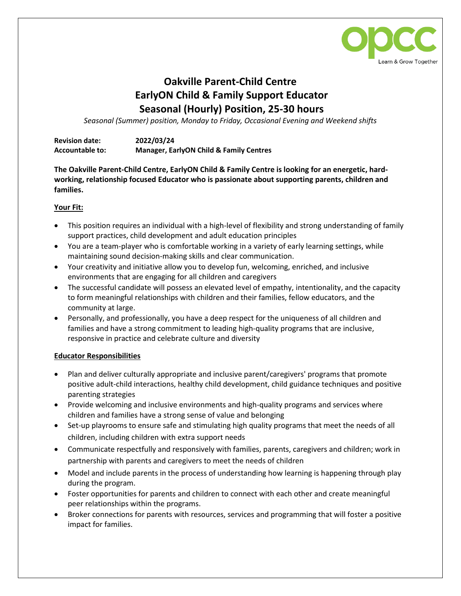

## **Oakville Parent-Child Centre EarlyON Child & Family Support Educator Seasonal (Hourly) Position, 25-30 hours**

*Seasonal (Summer) position, Monday to Friday, Occasional Evening and Weekend shifts*

| <b>Revision date:</b>  | 2022/03/24                                         |
|------------------------|----------------------------------------------------|
| <b>Accountable to:</b> | <b>Manager, EarlyON Child &amp; Family Centres</b> |

**The Oakville Parent-Child Centre, EarlyON Child & Family Centre is looking for an energetic, hardworking, relationship focused Educator who is passionate about supporting parents, children and families.**

## **Your Fit:**

- This position requires an individual with a high-level of flexibility and strong understanding of family support practices, child development and adult education principles
- You are a team-player who is comfortable working in a variety of early learning settings, while maintaining sound decision-making skills and clear communication.
- Your creativity and initiative allow you to develop fun, welcoming, enriched, and inclusive environments that are engaging for all children and caregivers
- The successful candidate will possess an elevated level of empathy, intentionality, and the capacity to form meaningful relationships with children and their families, fellow educators, and the community at large.
- Personally, and professionally, you have a deep respect for the uniqueness of all children and families and have a strong commitment to leading high-quality programs that are inclusive, responsive in practice and celebrate culture and diversity

## **Educator Responsibilities**

- Plan and deliver culturally appropriate and inclusive parent/caregivers' programs that promote positive adult-child interactions, healthy child development, child guidance techniques and positive parenting strategies
- Provide welcoming and inclusive environments and high-quality programs and services where children and families have a strong sense of value and belonging
- Set-up playrooms to ensure safe and stimulating high quality programs that meet the needs of all children, including children with extra support needs
- Communicate respectfully and responsively with families, parents, caregivers and children; work in partnership with parents and caregivers to meet the needs of children
- Model and include parents in the process of understanding how learning is happening through play during the program.
- Foster opportunities for parents and children to connect with each other and create meaningful peer relationships within the programs.
- Broker connections for parents with resources, services and programming that will foster a positive impact for families.